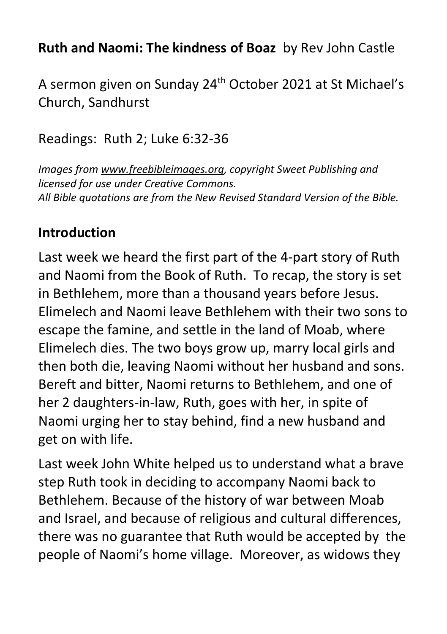## **Ruth and Naomi: The kindness of Boaz** by Rev John Castle

A sermon given on Sunday 24<sup>th</sup> October 2021 at St Michael's Church, Sandhurst

## Readings: Ruth 2; Luke 6:32-36

*Images from [www.freebibleimages.org,](http://www.freebibleimages.org/) copyright Sweet Publishing and licensed for use under Creative Commons. All Bible quotations are from the New Revised Standard Version of the Bible.*

## **Introduction**

Last week we heard the first part of the 4-part story of Ruth and Naomi from the Book of Ruth. To recap, the story is set in Bethlehem, more than a thousand years before Jesus. Elimelech and Naomi leave Bethlehem with their two sons to escape the famine, and settle in the land of Moab, where Elimelech dies. The two boys grow up, marry local girls and then both die, leaving Naomi without her husband and sons. Bereft and bitter, Naomi returns to Bethlehem, and one of her 2 daughters-in-law, Ruth, goes with her, in spite of Naomi urging her to stay behind, find a new husband and get on with life.

Last week John White helped us to understand what a brave step Ruth took in deciding to accompany Naomi back to Bethlehem. Because of the history of war between Moab and Israel, and because of religious and cultural differences, there was no guarantee that Ruth would be accepted by the people of Naomi's home village. Moreover, as widows they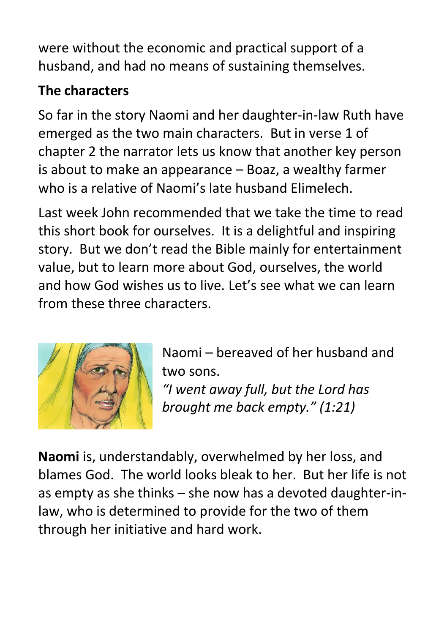were without the economic and practical support of a husband, and had no means of sustaining themselves.

## **The characters**

So far in the story Naomi and her daughter-in-law Ruth have emerged as the two main characters. But in verse 1 of chapter 2 the narrator lets us know that another key person is about to make an appearance – Boaz, a wealthy farmer who is a relative of Naomi's late husband Elimelech.

Last week John recommended that we take the time to read this short book for ourselves. It is a delightful and inspiring story. But we don't read the Bible mainly for entertainment value, but to learn more about God, ourselves, the world and how God wishes us to live. Let's see what we can learn from these three characters.



Naomi – bereaved of her husband and two sons.

*"I went away full, but the Lord has brought me back empty." (1:21)*

**Naomi** is, understandably, overwhelmed by her loss, and blames God. The world looks bleak to her. But her life is not as empty as she thinks – she now has a devoted daughter-inlaw, who is determined to provide for the two of them through her initiative and hard work.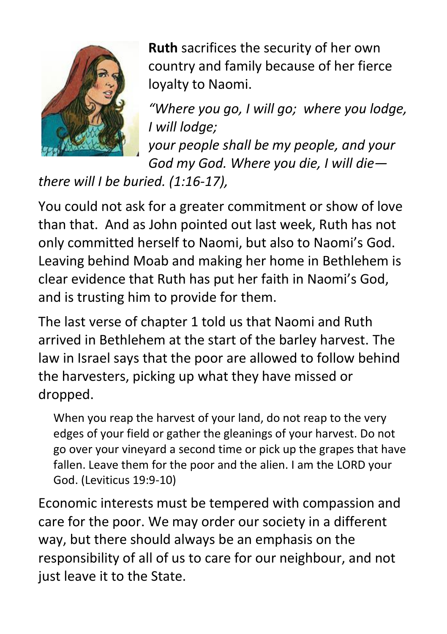

**Ruth** sacrifices the security of her own country and family because of her fierce loyalty to Naomi.

*"Where you go, I will go; where you lodge, I will lodge;*

*your people shall be my people, and your God my God. Where you die, I will die—*

# *there will I be buried. (1:16-17),*

You could not ask for a greater commitment or show of love than that. And as John pointed out last week, Ruth has not only committed herself to Naomi, but also to Naomi's God. Leaving behind Moab and making her home in Bethlehem is clear evidence that Ruth has put her faith in Naomi's God, and is trusting him to provide for them.

The last verse of chapter 1 told us that Naomi and Ruth arrived in Bethlehem at the start of the barley harvest. The law in Israel says that the poor are allowed to follow behind the harvesters, picking up what they have missed or dropped.

When you reap the harvest of your land, do not reap to the very edges of your field or gather the gleanings of your harvest. Do not go over your vineyard a second time or pick up the grapes that have fallen. Leave them for the poor and the alien. I am the LORD your God. (Leviticus 19:9-10)

Economic interests must be tempered with compassion and care for the poor. We may order our society in a different way, but there should always be an emphasis on the responsibility of all of us to care for our neighbour, and not just leave it to the State.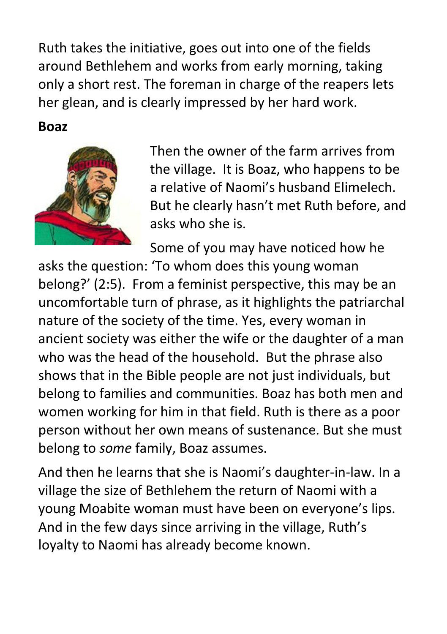Ruth takes the initiative, goes out into one of the fields around Bethlehem and works from early morning, taking only a short rest. The foreman in charge of the reapers lets her glean, and is clearly impressed by her hard work.

#### **Boaz**



Then the owner of the farm arrives from the village. It is Boaz, who happens to be a relative of Naomi's husband Elimelech. But he clearly hasn't met Ruth before, and asks who she is.

Some of you may have noticed how he

asks the question: 'To whom does this young woman belong?' (2:5). From a feminist perspective, this may be an uncomfortable turn of phrase, as it highlights the patriarchal nature of the society of the time. Yes, every woman in ancient society was either the wife or the daughter of a man who was the head of the household. But the phrase also shows that in the Bible people are not just individuals, but belong to families and communities. Boaz has both men and women working for him in that field. Ruth is there as a poor person without her own means of sustenance. But she must belong to *some* family, Boaz assumes.

And then he learns that she is Naomi's daughter-in-law. In a village the size of Bethlehem the return of Naomi with a young Moabite woman must have been on everyone's lips. And in the few days since arriving in the village, Ruth's loyalty to Naomi has already become known.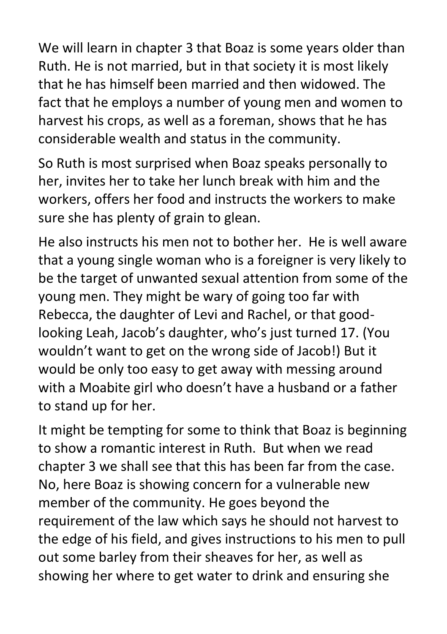We will learn in chapter 3 that Boaz is some years older than Ruth. He is not married, but in that society it is most likely that he has himself been married and then widowed. The fact that he employs a number of young men and women to harvest his crops, as well as a foreman, shows that he has considerable wealth and status in the community.

So Ruth is most surprised when Boaz speaks personally to her, invites her to take her lunch break with him and the workers, offers her food and instructs the workers to make sure she has plenty of grain to glean.

He also instructs his men not to bother her. He is well aware that a young single woman who is a foreigner is very likely to be the target of unwanted sexual attention from some of the young men. They might be wary of going too far with Rebecca, the daughter of Levi and Rachel, or that goodlooking Leah, Jacob's daughter, who's just turned 17. (You wouldn't want to get on the wrong side of Jacob!) But it would be only too easy to get away with messing around with a Moabite girl who doesn't have a husband or a father to stand up for her.

It might be tempting for some to think that Boaz is beginning to show a romantic interest in Ruth. But when we read chapter 3 we shall see that this has been far from the case. No, here Boaz is showing concern for a vulnerable new member of the community. He goes beyond the requirement of the law which says he should not harvest to the edge of his field, and gives instructions to his men to pull out some barley from their sheaves for her, as well as showing her where to get water to drink and ensuring she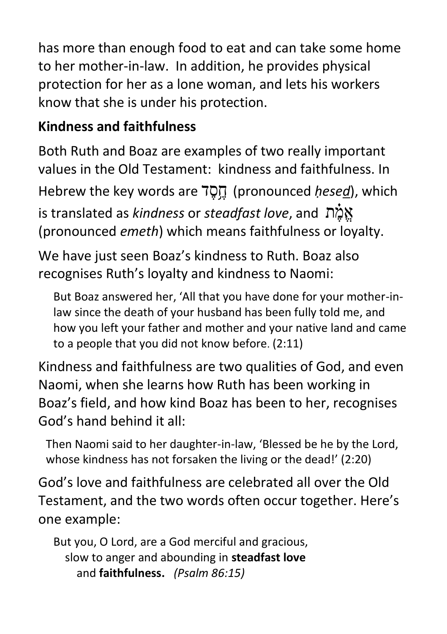has more than enough food to eat and can take some home to her mother-in-law. In addition, he provides physical protection for her as a lone woman, and lets his workers know that she is under his protection.

## **Kindness and faithfulness**

Both Ruth and Boaz are examples of two really important values in the Old Testament: kindness and faithfulness. In Hebrew the key words are 7D<sub>1</sub> (pronounced *hesed*), which is translated as *kindness* or *steadfast love*, and ת ֶֶ֗מ ֱא (pronounced *emeth*) which means faithfulness or loyalty.

We have just seen Boaz's kindness to Ruth. Boaz also recognises Ruth's loyalty and kindness to Naomi:

But Boaz answered her, 'All that you have done for your mother-inlaw since the death of your husband has been fully told me, and how you left your father and mother and your native land and came to a people that you did not know before. (2:11)

Kindness and faithfulness are two qualities of God, and even Naomi, when she learns how Ruth has been working in Boaz's field, and how kind Boaz has been to her, recognises God's hand behind it all:

Then Naomi said to her daughter-in-law, 'Blessed be he by the Lord, whose kindness has not forsaken the living or the dead!' (2:20)

God's love and faithfulness are celebrated all over the Old Testament, and the two words often occur together. Here's one example:

But you, O Lord, are a God merciful and gracious, slow to anger and abounding in **steadfast love**  and **faithfulness.** *(Psalm 86:15)*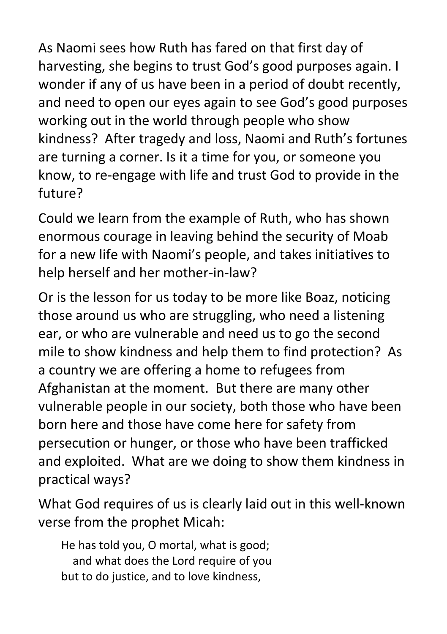As Naomi sees how Ruth has fared on that first day of harvesting, she begins to trust God's good purposes again. I wonder if any of us have been in a period of doubt recently, and need to open our eyes again to see God's good purposes working out in the world through people who show kindness? After tragedy and loss, Naomi and Ruth's fortunes are turning a corner. Is it a time for you, or someone you know, to re-engage with life and trust God to provide in the future?

Could we learn from the example of Ruth, who has shown enormous courage in leaving behind the security of Moab for a new life with Naomi's people, and takes initiatives to help herself and her mother-in-law?

Or is the lesson for us today to be more like Boaz, noticing those around us who are struggling, who need a listening ear, or who are vulnerable and need us to go the second mile to show kindness and help them to find protection? As a country we are offering a home to refugees from Afghanistan at the moment. But there are many other vulnerable people in our society, both those who have been born here and those have come here for safety from persecution or hunger, or those who have been trafficked and exploited. What are we doing to show them kindness in practical ways?

What God requires of us is clearly laid out in this well-known verse from the prophet Micah:

He has told you, O mortal, what is good; and what does the Lord require of you but to do justice, and to love kindness,